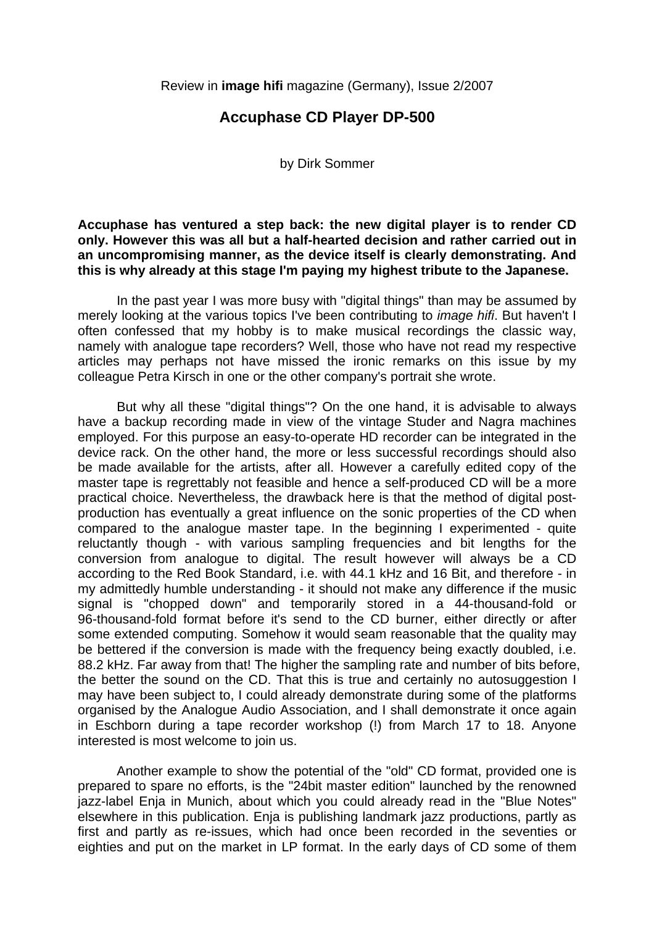Review in **image hifi** magazine (Germany), Issue 2/2007

## **Accuphase CD Player DP-500**

by Dirk Sommer

### **Accuphase has ventured a step back: the new digital player is to render CD only. However this was all but a half-hearted decision and rather carried out in an uncompromising manner, as the device itself is clearly demonstrating. And this is why already at this stage I'm paying my highest tribute to the Japanese.**

 In the past year I was more busy with "digital things" than may be assumed by merely looking at the various topics I've been contributing to *image hifi*. But haven't I often confessed that my hobby is to make musical recordings the classic way, namely with analogue tape recorders? Well, those who have not read my respective articles may perhaps not have missed the ironic remarks on this issue by my colleague Petra Kirsch in one or the other company's portrait she wrote.

 But why all these "digital things"? On the one hand, it is advisable to always have a backup recording made in view of the vintage Studer and Nagra machines employed. For this purpose an easy-to-operate HD recorder can be integrated in the device rack. On the other hand, the more or less successful recordings should also be made available for the artists, after all. However a carefully edited copy of the master tape is regrettably not feasible and hence a self-produced CD will be a more practical choice. Nevertheless, the drawback here is that the method of digital postproduction has eventually a great influence on the sonic properties of the CD when compared to the analogue master tape. In the beginning I experimented - quite reluctantly though - with various sampling frequencies and bit lengths for the conversion from analogue to digital. The result however will always be a CD according to the Red Book Standard, i.e. with 44.1 kHz and 16 Bit, and therefore - in my admittedly humble understanding - it should not make any difference if the music signal is "chopped down" and temporarily stored in a 44-thousand-fold or 96-thousand-fold format before it's send to the CD burner, either directly or after some extended computing. Somehow it would seam reasonable that the quality may be bettered if the conversion is made with the frequency being exactly doubled, i.e. 88.2 kHz. Far away from that! The higher the sampling rate and number of bits before, the better the sound on the CD. That this is true and certainly no autosuggestion I may have been subject to, I could already demonstrate during some of the platforms organised by the Analogue Audio Association, and I shall demonstrate it once again in Eschborn during a tape recorder workshop (!) from March 17 to 18. Anyone interested is most welcome to join us.

 Another example to show the potential of the "old" CD format, provided one is prepared to spare no efforts, is the "24bit master edition" launched by the renowned jazz-label Enja in Munich, about which you could already read in the "Blue Notes" elsewhere in this publication. Enja is publishing landmark jazz productions, partly as first and partly as re-issues, which had once been recorded in the seventies or eighties and put on the market in LP format. In the early days of CD some of them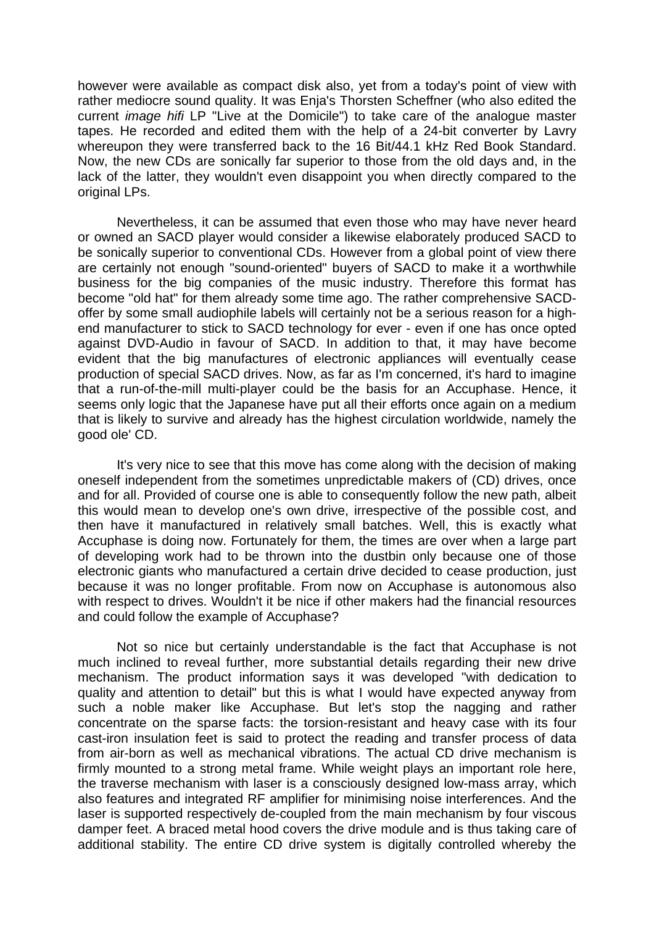however were available as compact disk also, yet from a today's point of view with rather mediocre sound quality. It was Enja's Thorsten Scheffner (who also edited the current *image hifi* LP "Live at the Domicile") to take care of the analogue master tapes. He recorded and edited them with the help of a 24-bit converter by Lavry whereupon they were transferred back to the 16 Bit/44.1 kHz Red Book Standard. Now, the new CDs are sonically far superior to those from the old days and, in the lack of the latter, they wouldn't even disappoint you when directly compared to the original LPs.

 Nevertheless, it can be assumed that even those who may have never heard or owned an SACD player would consider a likewise elaborately produced SACD to be sonically superior to conventional CDs. However from a global point of view there are certainly not enough "sound-oriented" buyers of SACD to make it a worthwhile business for the big companies of the music industry. Therefore this format has become "old hat" for them already some time ago. The rather comprehensive SACDoffer by some small audiophile labels will certainly not be a serious reason for a highend manufacturer to stick to SACD technology for ever - even if one has once opted against DVD-Audio in favour of SACD. In addition to that, it may have become evident that the big manufactures of electronic appliances will eventually cease production of special SACD drives. Now, as far as I'm concerned, it's hard to imagine that a run-of-the-mill multi-player could be the basis for an Accuphase. Hence, it seems only logic that the Japanese have put all their efforts once again on a medium that is likely to survive and already has the highest circulation worldwide, namely the good ole' CD.

 It's very nice to see that this move has come along with the decision of making oneself independent from the sometimes unpredictable makers of (CD) drives, once and for all. Provided of course one is able to consequently follow the new path, albeit this would mean to develop one's own drive, irrespective of the possible cost, and then have it manufactured in relatively small batches. Well, this is exactly what Accuphase is doing now. Fortunately for them, the times are over when a large part of developing work had to be thrown into the dustbin only because one of those electronic giants who manufactured a certain drive decided to cease production, just because it was no longer profitable. From now on Accuphase is autonomous also with respect to drives. Wouldn't it be nice if other makers had the financial resources and could follow the example of Accuphase?

 Not so nice but certainly understandable is the fact that Accuphase is not much inclined to reveal further, more substantial details regarding their new drive mechanism. The product information says it was developed "with dedication to quality and attention to detail" but this is what I would have expected anyway from such a noble maker like Accuphase. But let's stop the nagging and rather concentrate on the sparse facts: the torsion-resistant and heavy case with its four cast-iron insulation feet is said to protect the reading and transfer process of data from air-born as well as mechanical vibrations. The actual CD drive mechanism is firmly mounted to a strong metal frame. While weight plays an important role here, the traverse mechanism with laser is a consciously designed low-mass array, which also features and integrated RF amplifier for minimising noise interferences. And the laser is supported respectively de-coupled from the main mechanism by four viscous damper feet. A braced metal hood covers the drive module and is thus taking care of additional stability. The entire CD drive system is digitally controlled whereby the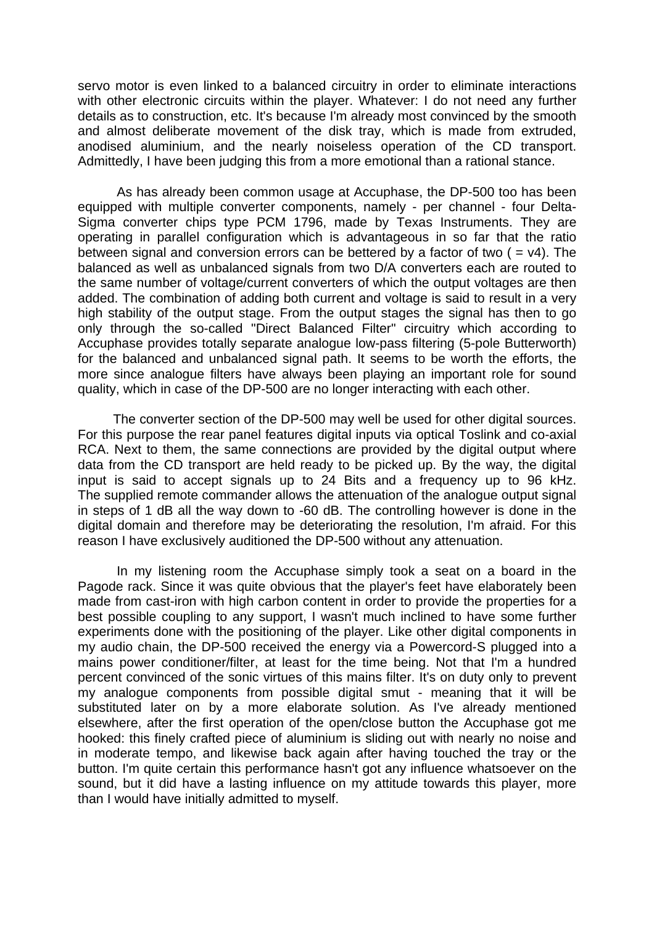servo motor is even linked to a balanced circuitry in order to eliminate interactions with other electronic circuits within the player. Whatever: I do not need any further details as to construction, etc. It's because I'm already most convinced by the smooth and almost deliberate movement of the disk tray, which is made from extruded, anodised aluminium, and the nearly noiseless operation of the CD transport. Admittedly, I have been judging this from a more emotional than a rational stance.

 As has already been common usage at Accuphase, the DP-500 too has been equipped with multiple converter components, namely - per channel - four Delta-Sigma converter chips type PCM 1796, made by Texas Instruments. They are operating in parallel configuration which is advantageous in so far that the ratio between signal and conversion errors can be bettered by a factor of two  $($  =  $v4)$ . The balanced as well as unbalanced signals from two D/A converters each are routed to the same number of voltage/current converters of which the output voltages are then added. The combination of adding both current and voltage is said to result in a very high stability of the output stage. From the output stages the signal has then to go only through the so-called "Direct Balanced Filter" circuitry which according to Accuphase provides totally separate analogue low-pass filtering (5-pole Butterworth) for the balanced and unbalanced signal path. It seems to be worth the efforts, the more since analogue filters have always been playing an important role for sound quality, which in case of the DP-500 are no longer interacting with each other.

 The converter section of the DP-500 may well be used for other digital sources. For this purpose the rear panel features digital inputs via optical Toslink and co-axial RCA. Next to them, the same connections are provided by the digital output where data from the CD transport are held ready to be picked up. By the way, the digital input is said to accept signals up to 24 Bits and a frequency up to 96 kHz. The supplied remote commander allows the attenuation of the analogue output signal in steps of 1 dB all the way down to -60 dB. The controlling however is done in the digital domain and therefore may be deteriorating the resolution, I'm afraid. For this reason I have exclusively auditioned the DP-500 without any attenuation.

 In my listening room the Accuphase simply took a seat on a board in the Pagode rack. Since it was quite obvious that the player's feet have elaborately been made from cast-iron with high carbon content in order to provide the properties for a best possible coupling to any support, I wasn't much inclined to have some further experiments done with the positioning of the player. Like other digital components in my audio chain, the DP-500 received the energy via a Powercord-S plugged into a mains power conditioner/filter, at least for the time being. Not that I'm a hundred percent convinced of the sonic virtues of this mains filter. It's on duty only to prevent my analogue components from possible digital smut - meaning that it will be substituted later on by a more elaborate solution. As I've already mentioned elsewhere, after the first operation of the open/close button the Accuphase got me hooked: this finely crafted piece of aluminium is sliding out with nearly no noise and in moderate tempo, and likewise back again after having touched the tray or the button. I'm quite certain this performance hasn't got any influence whatsoever on the sound, but it did have a lasting influence on my attitude towards this player, more than I would have initially admitted to myself.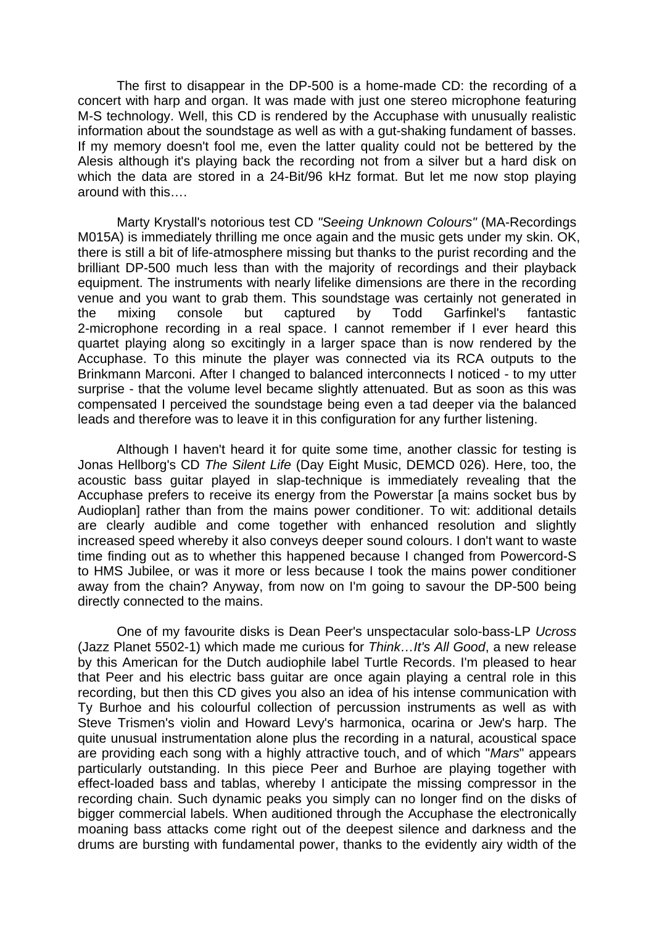The first to disappear in the DP-500 is a home-made CD: the recording of a concert with harp and organ. It was made with just one stereo microphone featuring M-S technology. Well, this CD is rendered by the Accuphase with unusually realistic information about the soundstage as well as with a gut-shaking fundament of basses. If my memory doesn't fool me, even the latter quality could not be bettered by the Alesis although it's playing back the recording not from a silver but a hard disk on which the data are stored in a 24-Bit/96 kHz format. But let me now stop playing around with this….

 Marty Krystall's notorious test CD *"Seeing Unknown Colours"* (MA-Recordings M015A) is immediately thrilling me once again and the music gets under my skin. OK, there is still a bit of life-atmosphere missing but thanks to the purist recording and the brilliant DP-500 much less than with the majority of recordings and their playback equipment. The instruments with nearly lifelike dimensions are there in the recording venue and you want to grab them. This soundstage was certainly not generated in the mixing console but captured by Todd Garfinkel's fantastic 2-microphone recording in a real space. I cannot remember if I ever heard this quartet playing along so excitingly in a larger space than is now rendered by the Accuphase. To this minute the player was connected via its RCA outputs to the Brinkmann Marconi. After I changed to balanced interconnects I noticed - to my utter surprise - that the volume level became slightly attenuated. But as soon as this was compensated I perceived the soundstage being even a tad deeper via the balanced leads and therefore was to leave it in this configuration for any further listening.

 Although I haven't heard it for quite some time, another classic for testing is Jonas Hellborg's CD *The Silent Life* (Day Eight Music, DEMCD 026). Here, too, the acoustic bass guitar played in slap-technique is immediately revealing that the Accuphase prefers to receive its energy from the Powerstar [a mains socket bus by Audioplan] rather than from the mains power conditioner. To wit: additional details are clearly audible and come together with enhanced resolution and slightly increased speed whereby it also conveys deeper sound colours. I don't want to waste time finding out as to whether this happened because I changed from Powercord-S to HMS Jubilee, or was it more or less because I took the mains power conditioner away from the chain? Anyway, from now on I'm going to savour the DP-500 being directly connected to the mains.

 One of my favourite disks is Dean Peer's unspectacular solo-bass-LP *Ucross* (Jazz Planet 5502-1) which made me curious for *Think…It's All Good*, a new release by this American for the Dutch audiophile label Turtle Records. I'm pleased to hear that Peer and his electric bass guitar are once again playing a central role in this recording, but then this CD gives you also an idea of his intense communication with Ty Burhoe and his colourful collection of percussion instruments as well as with Steve Trismen's violin and Howard Levy's harmonica, ocarina or Jew's harp. The quite unusual instrumentation alone plus the recording in a natural, acoustical space are providing each song with a highly attractive touch, and of which "*Mars*" appears particularly outstanding. In this piece Peer and Burhoe are playing together with effect-loaded bass and tablas, whereby I anticipate the missing compressor in the recording chain. Such dynamic peaks you simply can no longer find on the disks of bigger commercial labels. When auditioned through the Accuphase the electronically moaning bass attacks come right out of the deepest silence and darkness and the drums are bursting with fundamental power, thanks to the evidently airy width of the